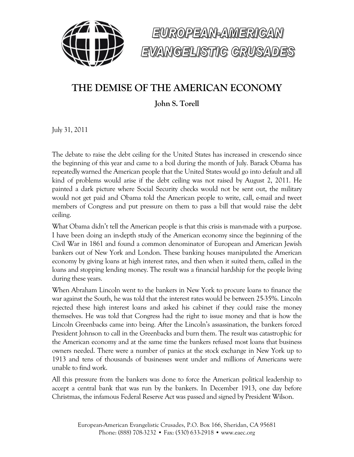



## **THE DEMISE OF THE AMERICAN ECONOMY**

**John S. Torell**

July 31, 2011

The debate to raise the debt ceiling for the United States has increased in crescendo since the beginning of this year and came to a boil during the month of July. Barack Obama has repeatedly warned the American people that the United States would go into default and all kind of problems would arise if the debt ceiling was not raised by August 2, 2011. He painted a dark picture where Social Security checks would not be sent out, the military would not get paid and Obama told the American people to write, call, e-mail and tweet members of Congress and put pressure on them to pass a bill that would raise the debt ceiling.

What Obama didn't tell the American people is that this crisis is man-made with a purpose. I have been doing an in-depth study of the American economy since the beginning of the Civil War in 1861 and found a common denominator of European and American Jewish bankers out of New York and London. These banking houses manipulated the American economy by giving loans at high interest rates, and then when it suited them, called in the loans and stopping lending money. The result was a financial hardship for the people living during these years.

When Abraham Lincoln went to the bankers in New York to procure loans to finance the war against the South, he was told that the interest rates would be between 25-35%. Lincoln rejected these high interest loans and asked his cabinet if they could raise the money themselves. He was told that Congress had the right to issue money and that is how the Lincoln Greenbacks came into being. After the Lincoln's assassination, the bankers forced President Johnson to call in the Greenbacks and burn them. The result was catastrophic for the American economy and at the same time the bankers refused most loans that business owners needed. There were a number of panics at the stock exchange in New York up to 1913 and tens of thousands of businesses went under and millions of Americans were unable to find work.

All this pressure from the bankers was done to force the American political leadership to accept a central bank that was run by the bankers. In December 1913, one day before Christmas, the infamous Federal Reserve Act was passed and signed by President Wilson.